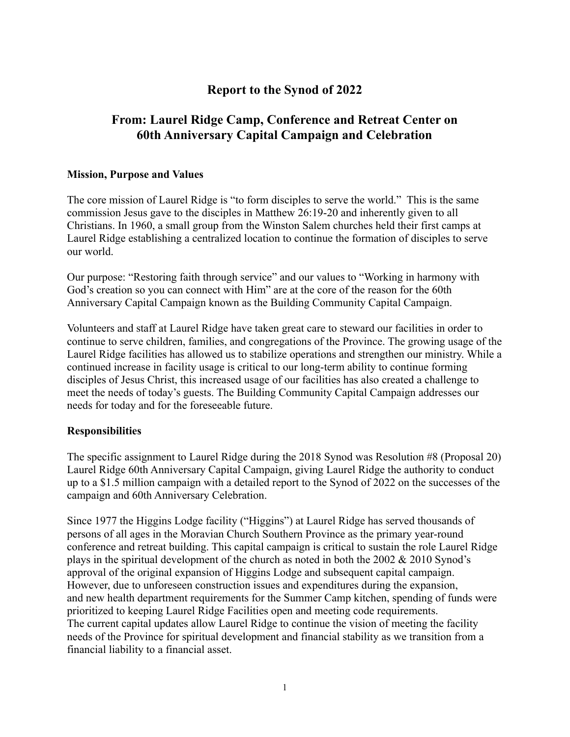# **Report to the Synod of 2022**

# **From: Laurel Ridge Camp, Conference and Retreat Center on 60th Anniversary Capital Campaign and Celebration**

#### **Mission, Purpose and Values**

The core mission of Laurel Ridge is "to form disciples to serve the world." This is the same commission Jesus gave to the disciples in Matthew 26:19-20 and inherently given to all Christians. In 1960, a small group from the Winston Salem churches held their first camps at Laurel Ridge establishing a centralized location to continue the formation of disciples to serve our world.

Our purpose: "Restoring faith through service" and our values to "Working in harmony with God's creation so you can connect with Him" are at the core of the reason for the 60th Anniversary Capital Campaign known as the Building Community Capital Campaign.

Volunteers and staff at Laurel Ridge have taken great care to steward our facilities in order to continue to serve children, families, and congregations of the Province. The growing usage of the Laurel Ridge facilities has allowed us to stabilize operations and strengthen our ministry. While a continued increase in facility usage is critical to our long-term ability to continue forming disciples of Jesus Christ, this increased usage of our facilities has also created a challenge to meet the needs of today's guests. The Building Community Capital Campaign addresses our needs for today and for the foreseeable future.

#### **Responsibilities**

The specific assignment to Laurel Ridge during the 2018 Synod was Resolution #8 (Proposal 20) Laurel Ridge 60th Anniversary Capital Campaign, giving Laurel Ridge the authority to conduct up to a \$1.5 million campaign with a detailed report to the Synod of 2022 on the successes of the campaign and 60th Anniversary Celebration.

Since 1977 the Higgins Lodge facility ("Higgins") at Laurel Ridge has served thousands of persons of all ages in the Moravian Church Southern Province as the primary year-round conference and retreat building. This capital campaign is critical to sustain the role Laurel Ridge plays in the spiritual development of the church as noted in both the  $2002 \& 2010$  Synod's approval of the original expansion of Higgins Lodge and subsequent capital campaign. However, due to unforeseen construction issues and expenditures during the expansion, and new health department requirements for the Summer Camp kitchen, spending of funds were prioritized to keeping Laurel Ridge Facilities open and meeting code requirements. The current capital updates allow Laurel Ridge to continue the vision of meeting the facility needs of the Province for spiritual development and financial stability as we transition from a financial liability to a financial asset.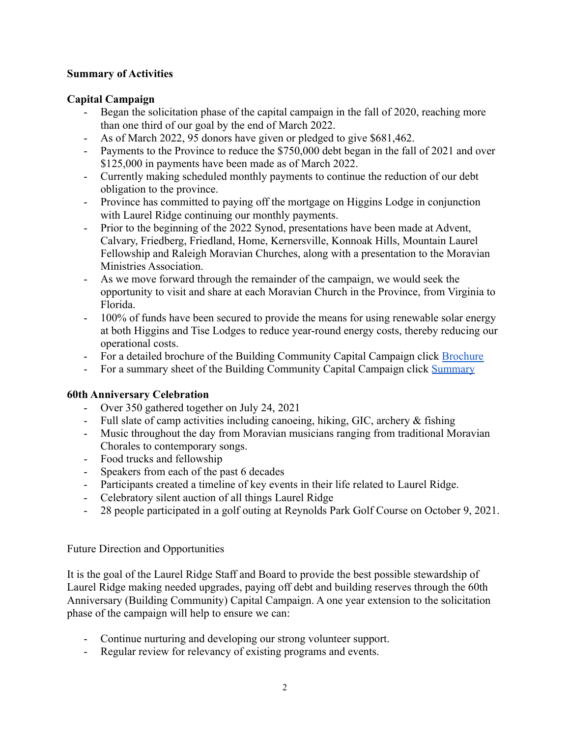### **Summary of Activities**

## **Capital Campaign**

- Began the solicitation phase of the capital campaign in the fall of 2020, reaching more than one third of our goal by the end of March 2022.
- As of March 2022, 95 donors have given or pledged to give \$681,462.
- Payments to the Province to reduce the \$750,000 debt began in the fall of 2021 and over \$125,000 in payments have been made as of March 2022.
- Currently making scheduled monthly payments to continue the reduction of our debt obligation to the province.
- Province has committed to paying off the mortgage on Higgins Lodge in conjunction with Laurel Ridge continuing our monthly payments.
- Prior to the beginning of the 2022 Synod, presentations have been made at Advent, Calvary, Friedberg, Friedland, Home, Kernersville, Konnoak Hills, Mountain Laurel Fellowship and Raleigh Moravian Churches, along with a presentation to the Moravian Ministries Association.
- As we move forward through the remainder of the campaign, we would seek the opportunity to visit and share at each Moravian Church in the Province, from Virginia to Florida.
- 100% of funds have been secured to provide the means for using renewable solar energy at both Higgins and Tise Lodges to reduce year-round energy costs, thereby reducing our operational costs.
- For a detailed brochure of the Building Community Capital Campaign click [Brochure](https://drive.google.com/file/d/10_WKkI_QWgI-uAguG7OgPCt1Ur6iNcjR/view?usp=sharing)
- For a summary sheet of the Building Community Capital Campaign click [Summary](https://docs.google.com/document/d/16glqE87jxaxogjC527-ACxS7Z0quPlZCW1d_NHUmVyY/edit)

### **60th Anniversary Celebration**

- Over 350 gathered together on July 24, 2021
- Full slate of camp activities including canoeing, hiking, GIC, archery & fishing
- Music throughout the day from Moravian musicians ranging from traditional Moravian Chorales to contemporary songs.
- Food trucks and fellowship
- Speakers from each of the past 6 decades
- Participants created a timeline of key events in their life related to Laurel Ridge.
- Celebratory silent auction of all things Laurel Ridge
- 28 people participated in a golf outing at Reynolds Park Golf Course on October 9, 2021.

### Future Direction and Opportunities

It is the goal of the Laurel Ridge Staff and Board to provide the best possible stewardship of Laurel Ridge making needed upgrades, paying off debt and building reserves through the 60th Anniversary (Building Community) Capital Campaign. A one year extension to the solicitation phase of the campaign will help to ensure we can:

- Continue nurturing and developing our strong volunteer support.
- Regular review for relevancy of existing programs and events.